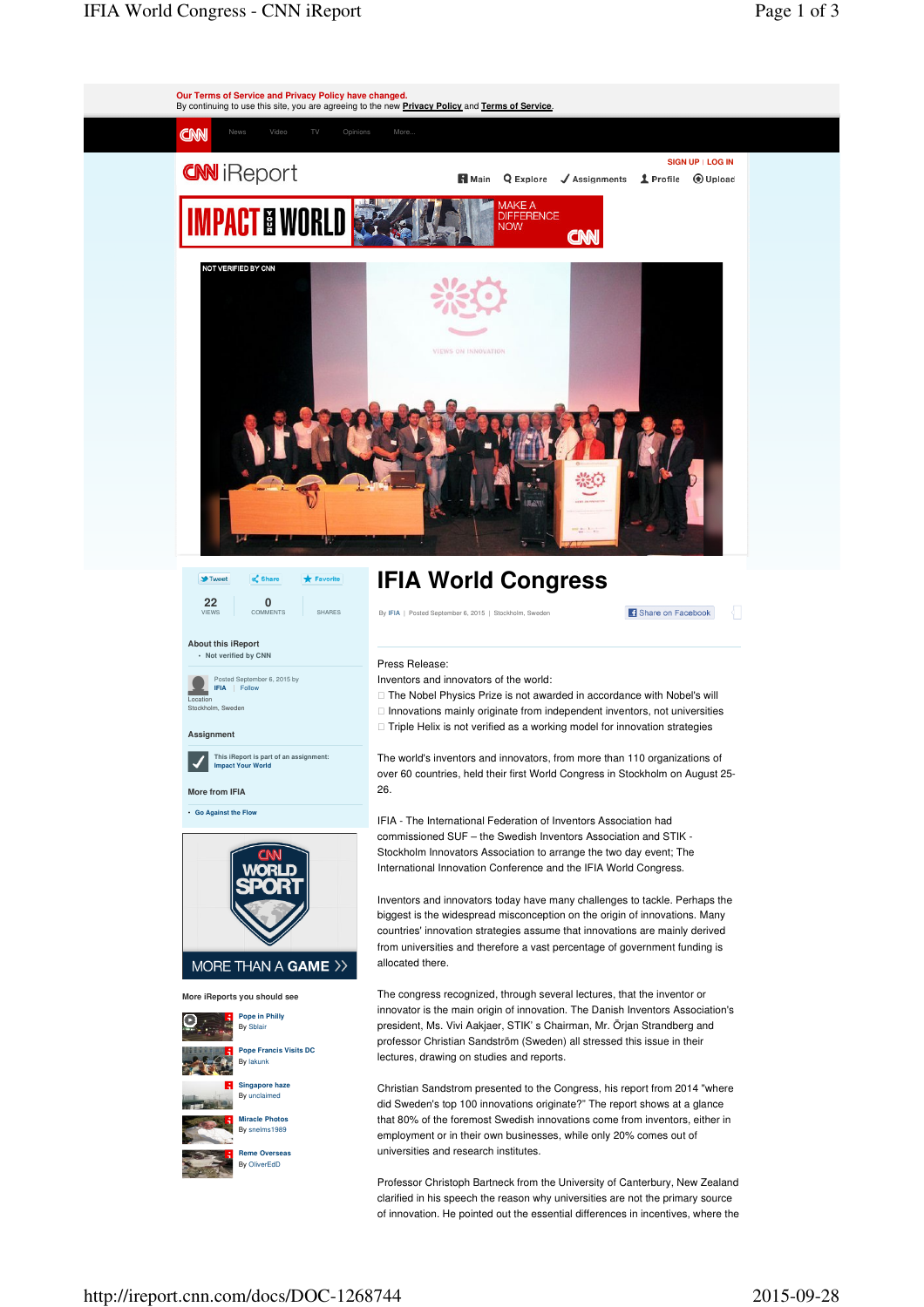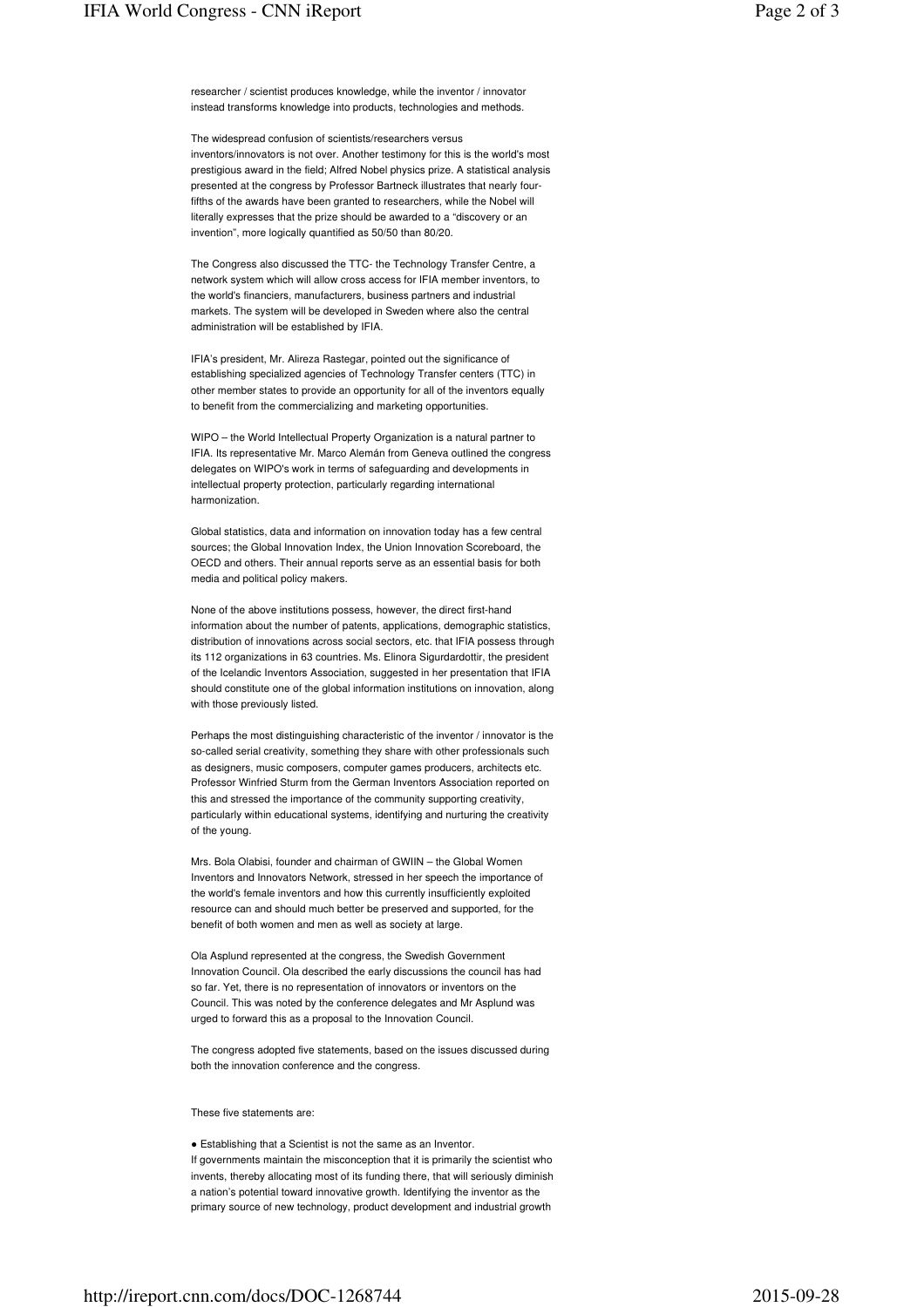The widespread confusion of scientists/researchers versus inventors/innovators is not over. Another testimony for this is the world's most prestigious award in the field; Alfred Nobel physics prize. A statistical analysis presented at the congress by Professor Bartneck illustrates that nearly fourfifths of the awards have been granted to researchers, while the Nobel will literally expresses that the prize should be awarded to a "discovery or an invention", more logically quantified as 50/50 than 80/20.

The Congress also discussed the TTC- the Technology Transfer Centre, a network system which will allow cross access for IFIA member inventors, to the world's financiers, manufacturers, business partners and industrial markets. The system will be developed in Sweden where also the central administration will be established by IFIA.

IFIA's president, Mr. Alireza Rastegar, pointed out the significance of establishing specialized agencies of Technology Transfer centers (TTC) in other member states to provide an opportunity for all of the inventors equally to benefit from the commercializing and marketing opportunities.

WIPO – the World Intellectual Property Organization is a natural partner to IFIA. Its representative Mr. Marco Alemán from Geneva outlined the congress delegates on WIPO's work in terms of safeguarding and developments in intellectual property protection, particularly regarding international harmonization.

Global statistics, data and information on innovation today has a few central sources; the Global Innovation Index, the Union Innovation Scoreboard, the OECD and others. Their annual reports serve as an essential basis for both media and political policy makers.

None of the above institutions possess, however, the direct first-hand information about the number of patents, applications, demographic statistics, distribution of innovations across social sectors, etc. that IFIA possess through its 112 organizations in 63 countries. Ms. Elinora Sigurdardottir, the president of the Icelandic Inventors Association, suggested in her presentation that IFIA should constitute one of the global information institutions on innovation, along with those previously listed.

Perhaps the most distinguishing characteristic of the inventor / innovator is the so-called serial creativity, something they share with other professionals such as designers, music composers, computer games producers, architects etc. Professor Winfried Sturm from the German Inventors Association reported on this and stressed the importance of the community supporting creativity, particularly within educational systems, identifying and nurturing the creativity of the young.

Mrs. Bola Olabisi, founder and chairman of GWIIN – the Global Women Inventors and Innovators Network, stressed in her speech the importance of the world's female inventors and how this currently insufficiently exploited resource can and should much better be preserved and supported, for the benefit of both women and men as well as society at large.

Ola Asplund represented at the congress, the Swedish Government Innovation Council. Ola described the early discussions the council has had so far. Yet, there is no representation of innovators or inventors on the Council. This was noted by the conference delegates and Mr Asplund was urged to forward this as a proposal to the Innovation Council.

The congress adopted five statements, based on the issues discussed during both the innovation conference and the congress.

These five statements are:

● Establishing that a Scientist is not the same as an Inventor. If governments maintain the misconception that it is primarily the scientist who invents, thereby allocating most of its funding there, that will seriously diminish a nation's potential toward innovative growth. Identifying the inventor as the primary source of new technology, product development and industrial growth